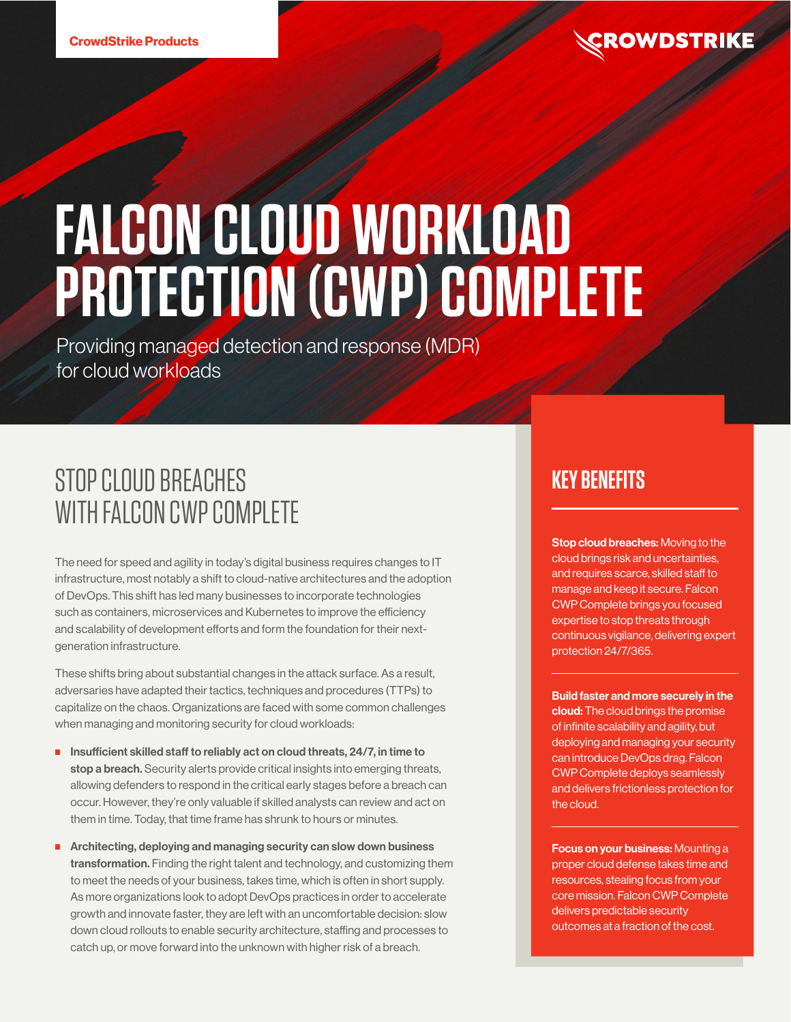# **FALCON CLOUD WORKLOAD PROTECTION (CWP) COMPLETE**

Providing managed detection and response (MDR) for cloud workloads

# STOP CLOUD BREACHES WITH FALCON CWP COMPLETE

The need for speed and agility in today's digital business requires changes to IT infrastructure, most notably a shift to cloud-native architectures and the adoption of DevOps. This shift has led many businesses to incorporate technologies such as containers, microservices and Kubernetes to improve the efficiency and scalability of development efforts and form the foundation for their nextgeneration infrastructure.

These shifts bring about substantial changes in the attack surface. As a result, adversaries have adapted their tactics, techniques and procedures (TTPs) to capitalize on the chaos. Organizations are faced with some common challenges when managing and monitoring security for cloud workloads:

- **Insufficient skilled staff to reliably act on cloud threats, 24/7, in time to** stop a breach. Security alerts provide critical insights into emerging threats, allowing defenders to respond in the critical early stages before a breach can occur. However, they're only valuable if skilled analysts can review and act on them in time. Today, that time frame has shrunk to hours or minutes.
- **Architecting, deploying and managing security can slow down business** transformation. Finding the right talent and technology, and customizing them to meet the needs of your business, takes time, which is often in short supply. As more organizations look to adopt DevOps practices in order to accelerate growth and innovate faster, they are left with an uncomfortable decision: slow down cloud rollouts to enable security architecture, staffing and processes to catch up, or move forward into the unknown with higher risk of a breach.

## **KEY BENEFITS**

**Stop cloud breaches:** Moving to the cloud brings risk and uncertainties, and requires scarce, skilled staff to manage and keep it secure. Falcon CWP Complete brings you focused expertise to stop threats through continuous vigilance, delivering expert protection 24/7/365.

Build faster and more securely in the cloud: The cloud brings the promise of infinite scalability and agility, but deploying and managing your security can introduce DevOps drag. Falcon CWP Complete deploys seamlessly and delivers frictionless protection for the cloud.

Focus on your business: Mounting a proper cloud defense takes time and resources, stealing focus from your core mission. Falcon CWP Complete delivers predictable security outcomes at a fraction of the cost.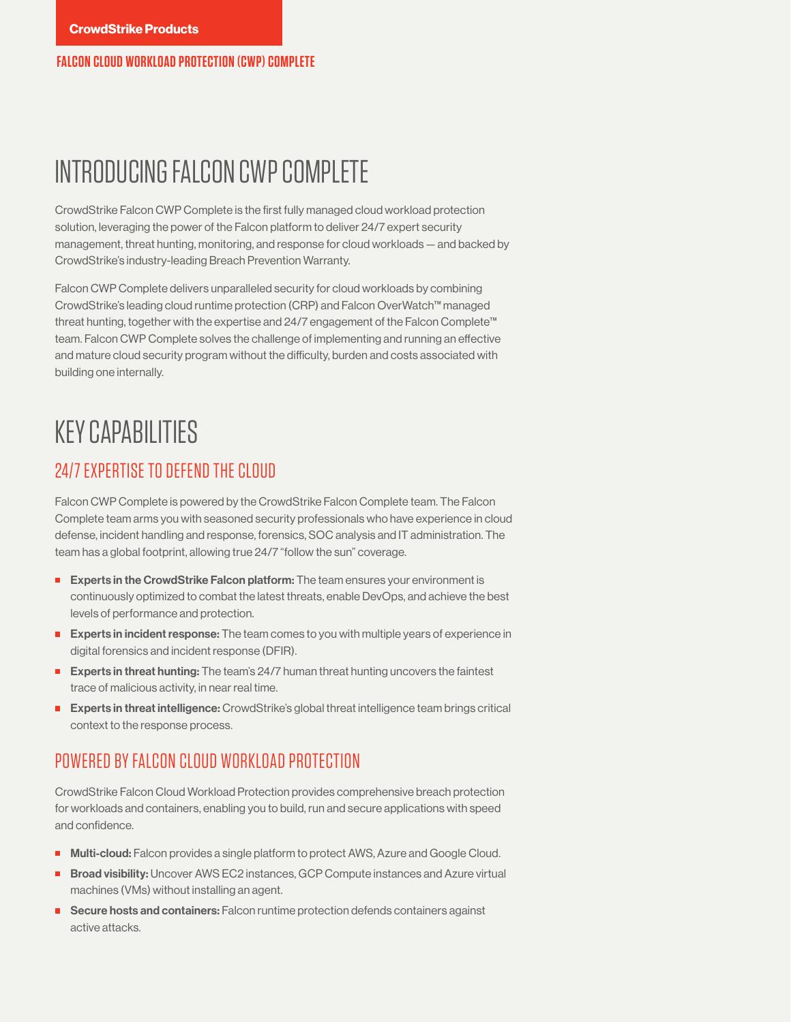**FALCON CLOUD WORKLOAD PROTECTION (CWP) COMPLETE**

## INTRODUCING FALCON CWP COMPLETE

CrowdStrike Falcon CWP Complete is the first fully managed cloud workload protection solution, leveraging the power of the Falcon platform to deliver 24/7 expert security management, threat hunting, monitoring, and response for cloud workloads — and backed by CrowdStrike's industry-leading Breach Prevention Warranty.

Falcon CWP Complete delivers unparalleled security for cloud workloads by combining CrowdStrike's leading cloud runtime protection (CRP) and Falcon OverWatch™ managed threat hunting, together with the expertise and 24/7 engagement of the Falcon Complete™ team. Falcon CWP Complete solves the challenge of implementing and running an effective and mature cloud security program without the difficulty, burden and costs associated with building one internally.

## KEY CAPABILITIES

#### 24/7 EXPERTISE TO DEFEND THE CLOUD

Falcon CWP Complete is powered by the CrowdStrike Falcon Complete team. The Falcon Complete team arms you with seasoned security professionals who have experience in cloud defense, incident handling and response, forensics, SOC analysis and IT administration. The team has a global footprint, allowing true 24/7 "follow the sun" coverage.

- **Experts in the CrowdStrike Falcon platform:** The team ensures your environment is continuously optimized to combat the latest threats, enable DevOps, and achieve the best levels of performance and protection.
- **Experts in incident response:** The team comes to you with multiple years of experience in digital forensics and incident response (DFIR).
- **Experts in threat hunting:** The team's 24/7 human threat hunting uncovers the faintest trace of malicious activity, in near real time.
- **Experts in threat intelligence:** CrowdStrike's global threat intelligence team brings critical context to the response process.

### POWERED BY FALCON CLOUD WORKLOAD PROTECTION

CrowdStrike Falcon Cloud Workload Protection provides comprehensive breach protection for workloads and containers, enabling you to build, run and secure applications with speed and confidence.

- **Multi-cloud:** Falcon provides a single platform to protect AWS, Azure and Google Cloud.
- **Broad visibility:** Uncover AWS EC2 instances, GCP Compute instances and Azure virtual machines (VMs) without installing an agent.
- Secure hosts and containers: Falcon runtime protection defends containers against active attacks.